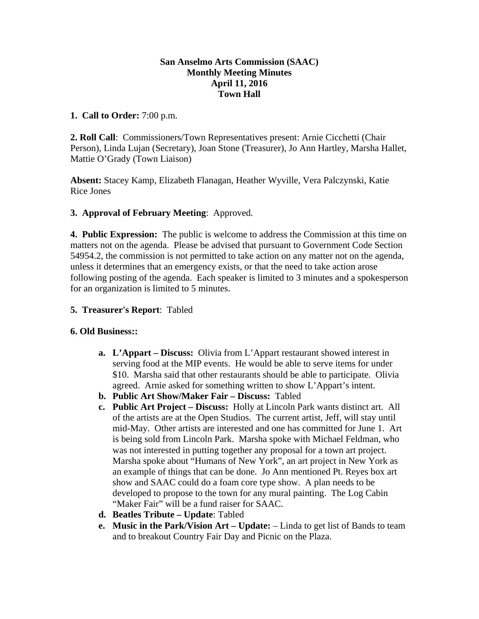### **San Anselmo Arts Commission (SAAC) Monthly Meeting Minutes April 11, 2016 Town Hall**

### **1. Call to Order:** 7:00 p.m.

**2. Roll Call**: Commissioners/Town Representatives present: Arnie Cicchetti (Chair Person), Linda Lujan (Secretary), Joan Stone (Treasurer), Jo Ann Hartley, Marsha Hallet, Mattie O'Grady (Town Liaison)

**Absent:** Stacey Kamp, Elizabeth Flanagan, Heather Wyville, Vera Palczynski, Katie Rice Jones

# **3. Approval of February Meeting**: Approved.

**4. Public Expression:** The public is welcome to address the Commission at this time on matters not on the agenda. Please be advised that pursuant to Government Code Section 54954.2, the commission is not permitted to take action on any matter not on the agenda, unless it determines that an emergency exists, or that the need to take action arose following posting of the agenda. Each speaker is limited to 3 minutes and a spokesperson for an organization is limited to 5 minutes.

# **5. Treasurer's Report**: Tabled

# **6. Old Business::**

- **a. L'Appart Discuss:** Olivia from L'Appart restaurant showed interest in serving food at the MIP events. He would be able to serve items for under \$10. Marsha said that other restaurants should be able to participate. Olivia agreed. Arnie asked for something written to show L'Appart's intent.
- **b. Public Art Show/Maker Fair Discuss:** Tabled
- **c. Public Art Project Discuss:** Holly at Lincoln Park wants distinct art. All of the artists are at the Open Studios. The current artist, Jeff, will stay until mid-May. Other artists are interested and one has committed for June 1. Art is being sold from Lincoln Park. Marsha spoke with Michael Feldman, who was not interested in putting together any proposal for a town art project. Marsha spoke about "Humans of New York", an art project in New York as an example of things that can be done. Jo Ann mentioned Pt. Reyes box art show and SAAC could do a foam core type show. A plan needs to be developed to propose to the town for any mural painting. The Log Cabin "Maker Fair" will be a fund raiser for SAAC.
- **d. Beatles Tribute Update**: Tabled
- **e. Music in the Park/Vision Art Update:** Linda to get list of Bands to team and to breakout Country Fair Day and Picnic on the Plaza.